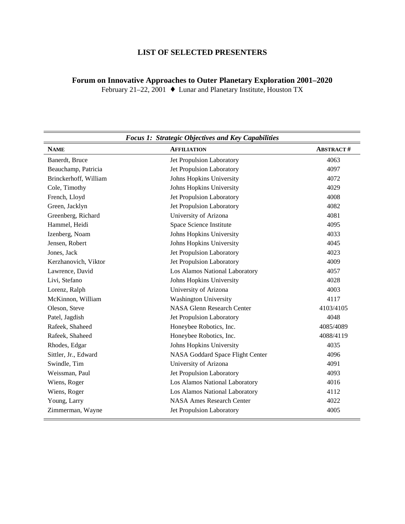## **LIST OF SELECTED PRESENTERS**

## **Forum on Innovative Approaches to Outer Planetary Exploration 2001–2020**

February 21–22, 2001  $\bullet$  Lunar and Planetary Institute, Houston TX

| <b>Focus 1: Strategic Objectives and Key Capabilities</b> |                                   |                  |  |
|-----------------------------------------------------------|-----------------------------------|------------------|--|
| <b>NAME</b>                                               | <b>AFFILIATION</b>                | <b>ABSTRACT#</b> |  |
| Banerdt, Bruce                                            | Jet Propulsion Laboratory         | 4063             |  |
| Beauchamp, Patricia                                       | Jet Propulsion Laboratory         | 4097             |  |
| Brinckerhoff, William                                     | Johns Hopkins University          | 4072             |  |
| Cole, Timothy                                             | Johns Hopkins University          | 4029             |  |
| French, Lloyd                                             | Jet Propulsion Laboratory         | 4008             |  |
| Green, Jacklyn                                            | Jet Propulsion Laboratory         | 4082             |  |
| Greenberg, Richard                                        | University of Arizona             | 4081             |  |
| Hammel, Heidi                                             | Space Science Institute           | 4095             |  |
| Izenberg, Noam                                            | Johns Hopkins University          | 4033             |  |
| Jensen, Robert                                            | Johns Hopkins University          | 4045             |  |
| Jones, Jack                                               | Jet Propulsion Laboratory         | 4023             |  |
| Kerzhanovich, Viktor                                      | Jet Propulsion Laboratory         | 4009             |  |
| Lawrence, David                                           | Los Alamos National Laboratory    | 4057             |  |
| Livi, Stefano                                             | Johns Hopkins University          | 4028             |  |
| Lorenz, Ralph                                             | University of Arizona             | 4003             |  |
| McKinnon, William                                         | <b>Washington University</b>      | 4117             |  |
| Oleson, Steve                                             | <b>NASA Glenn Research Center</b> | 4103/4105        |  |
| Patel, Jagdish                                            | Jet Propulsion Laboratory         | 4048             |  |
| Rafeek, Shaheed                                           | Honeybee Robotics, Inc.           | 4085/4089        |  |
| Rafeek, Shaheed                                           | Honeybee Robotics, Inc.           | 4088/4119        |  |
| Rhodes, Edgar                                             | Johns Hopkins University          | 4035             |  |
| Sittler, Jr., Edward                                      | NASA Goddard Space Flight Center  | 4096             |  |
| Swindle, Tim                                              | University of Arizona             | 4091             |  |
| Weissman, Paul                                            | Jet Propulsion Laboratory         | 4093             |  |
| Wiens, Roger                                              | Los Alamos National Laboratory    | 4016             |  |
| Wiens, Roger                                              | Los Alamos National Laboratory    | 4112             |  |
| Young, Larry                                              | <b>NASA Ames Research Center</b>  | 4022             |  |
| Zimmerman, Wayne                                          | Jet Propulsion Laboratory         | 4005             |  |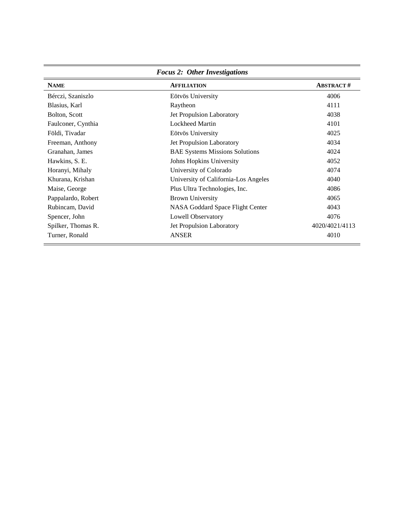| <b>Focus 2: Other Investigations</b> |                                       |                  |  |
|--------------------------------------|---------------------------------------|------------------|--|
| <b>NAME</b>                          | <b>AFFILIATION</b>                    | <b>ABSTRACT#</b> |  |
| Bérczi, Szaniszlo                    | Eötvös University                     | 4006             |  |
| Blasius, Karl                        | Raytheon                              | 4111             |  |
| Bolton, Scott                        | Jet Propulsion Laboratory             | 4038             |  |
| Faulconer, Cynthia                   | <b>Lockheed Martin</b>                | 4101             |  |
| Földi, Tivadar                       | Eötvös University                     | 4025             |  |
| Freeman, Anthony                     | Jet Propulsion Laboratory             | 4034             |  |
| Granahan, James                      | <b>BAE Systems Missions Solutions</b> | 4024             |  |
| Hawkins, S. E.                       | Johns Hopkins University              | 4052             |  |
| Horanyi, Mihaly                      | University of Colorado                | 4074             |  |
| Khurana, Krishan                     | University of California-Los Angeles  | 4040             |  |
| Maise, George                        | Plus Ultra Technologies, Inc.         | 4086             |  |
| Pappalardo, Robert                   | <b>Brown University</b>               | 4065             |  |
| Rubincam, David                      | NASA Goddard Space Flight Center      | 4043             |  |
| Spencer, John                        | Lowell Observatory                    | 4076             |  |
| Spilker, Thomas R.                   | Jet Propulsion Laboratory             | 4020/4021/4113   |  |
| Turner, Ronald                       | <b>ANSER</b>                          | 4010             |  |